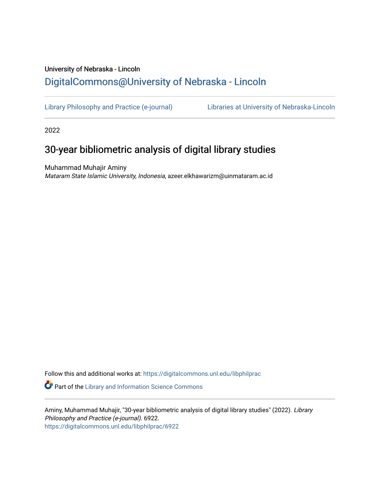# University of Nebraska - Lincoln [DigitalCommons@University of Nebraska - Lincoln](https://digitalcommons.unl.edu/)

[Library Philosophy and Practice \(e-journal\)](https://digitalcommons.unl.edu/libphilprac) [Libraries at University of Nebraska-Lincoln](https://digitalcommons.unl.edu/libraries) 

2022

# 30-year bibliometric analysis of digital library studies

Muhammad Muhajir Aminy Mataram State Islamic University, Indonesia, azeer.elkhawarizm@uinmataram.ac.id

Follow this and additional works at: [https://digitalcommons.unl.edu/libphilprac](https://digitalcommons.unl.edu/libphilprac?utm_source=digitalcommons.unl.edu%2Flibphilprac%2F6922&utm_medium=PDF&utm_campaign=PDFCoverPages)  **C** Part of the Library and Information Science Commons

Aminy, Muhammad Muhajir, "30-year bibliometric analysis of digital library studies" (2022). Library Philosophy and Practice (e-journal). 6922. [https://digitalcommons.unl.edu/libphilprac/6922](https://digitalcommons.unl.edu/libphilprac/6922?utm_source=digitalcommons.unl.edu%2Flibphilprac%2F6922&utm_medium=PDF&utm_campaign=PDFCoverPages)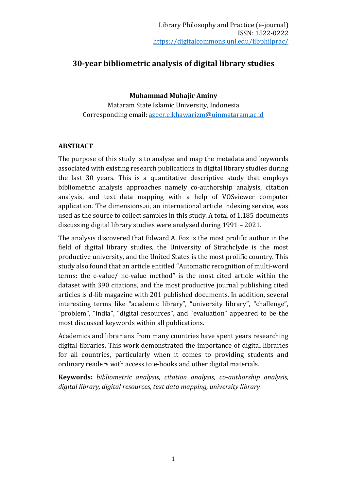## **30-year bibliometric analysis of digital library studies**

#### **Muhammad Muhajir Aminy**

Mataram State Islamic University, Indonesia Corresponding email: [azeer.elkhawarizm@uinmataram.ac.id](mailto:azeer.elkhawarizm@uinmataram.ac.id)

#### **ABSTRACT**

The purpose of this study is to analyse and map the metadata and keywords associated with existing research publications in digital library studies during the last 30 years. This is a quantitative descriptive study that employs bibliometric analysis approaches namely co-authorship analysis, citation analysis, and text data mapping with a help of VOSviewer computer application. The dimensions.ai, an international article indexing service, was used as the source to collect samples in this study. A total of 1,185 documents discussing digital library studies were analysed during 1991 – 2021.

The analysis discovered that Edward A. Fox is the most prolific author in the field of digital library studies, the University of Strathclyde is the most productive university, and the United States is the most prolific country. This study also found that an article entitled "Automatic recognition of multi-word terms: the c-value/ nc-value method" is the most cited article within the dataset with 390 citations, and the most productive journal publishing cited articles is d-lib magazine with 201 published documents. In addition, several interesting terms like "academic library", "university library", "challenge", "problem", "india", "digital resources", and "evaluation" appeared to be the most discussed keywords within all publications.

Academics and librarians from many countries have spent years researching digital libraries. This work demonstrated the importance of digital libraries for all countries, particularly when it comes to providing students and ordinary readers with access to e-books and other digital materials.

**Keywords:** *bibliometric analysis, citation analysis, co-authorship analysis, digital library, digital resources, text data mapping, university library*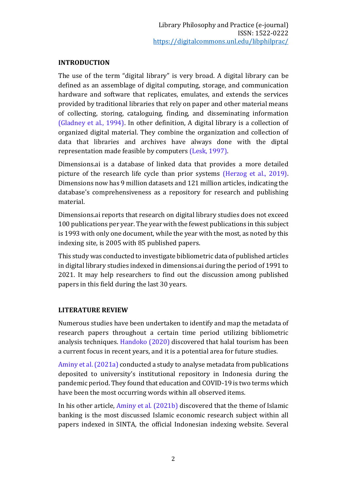#### **INTRODUCTION**

The use of the term "digital library" is very broad. A digital library can be defined as an assemblage of digital computing, storage, and communication hardware and software that replicates, emulates, and extends the services provided by traditional libraries that rely on paper and other material means of collecting, storing, cataloguing, finding, and disseminating information (Gladney et al., 1994). In other definition, A digital library is a collection of organized digital material. They combine the organization and collection of data that libraries and archives have always done with the diptal representation made feasible by computers (Lesk, 1997).

Dimensions.ai is a database of linked data that provides a more detailed picture of the research life cycle than prior systems (Herzog et al., 2019). Dimensions now has 9 million datasets and 121 million articles, indicating the database's comprehensiveness as a repository for research and publishing material.

Dimensions.ai reports that research on digital library studies does not exceed 100 publications per year. The year with the fewest publications in this subject is 1993 with only one document, while the year with the most, as noted by this indexing site, is 2005 with 85 published papers.

This study was conducted to investigate bibliometric data of published articles in digital library studies indexed in dimensions.ai during the period of 1991 to 2021. It may help researchers to find out the discussion among published papers in this field during the last 30 years.

### **LITERATURE REVIEW**

Numerous studies have been undertaken to identify and map the metadata of research papers throughout a certain time period utilizing bibliometric analysis techniques. Handoko (2020) discovered that halal tourism has been a current focus in recent years, and it is a potential area for future studies.

Aminy et al. (2021a) conducted a study to analyse metadata from publications deposited to university's institutional repository in Indonesia during the pandemic period. They found that education and COVID-19 is two terms which have been the most occurring words within all observed items.

In his other article, Aminy et al. (2021b) discovered that the theme of Islamic banking is the most discussed Islamic economic research subject within all papers indexed in SINTA, the official Indonesian indexing website. Several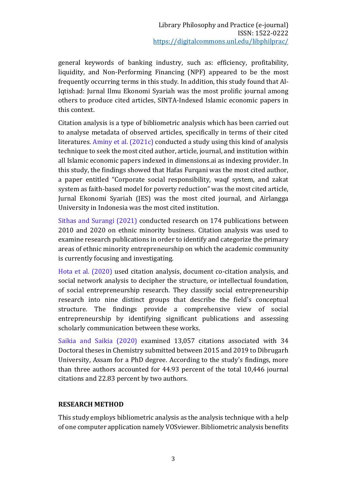general keywords of banking industry, such as: efficiency, profitability, liquidity, and Non-Performing Financing (NPF) appeared to be the most frequently occurring terms in this study. In addition, this study found that Al-Iqtishad: Jurnal Ilmu Ekonomi Syariah was the most prolific journal among others to produce cited articles, SINTA-Indexed Islamic economic papers in this context.

Citation analysis is a type of bibliometric analysis which has been carried out to analyse metadata of observed articles, specifically in terms of their cited literatures. Aminy et al. (2021c) conducted a study using this kind of analysis technique to seek the most cited author, article, journal, and institution within all Islamic economic papers indexed in dimensions.ai as indexing provider. In this study, the findings showed that Hafas Furqani was the most cited author, a paper entitled "Corporate social responsibility, waqf system, and zakat system as faith-based model for poverty reduction" was the most cited article, Jurnal Ekonomi Syariah (JES) was the most cited journal, and Airlangga University in Indonesia was the most cited institution.

Sithas and Surangi (2021) conducted research on 174 publications between 2010 and 2020 on ethnic minority business. Citation analysis was used to examine research publications in order to identify and categorize the primary areas of ethnic minority entrepreneurship on which the academic community is currently focusing and investigating.

Hota et al. (2020) used citation analysis, document co-citation analysis, and social network analysis to decipher the structure, or intellectual foundation, of social entrepreneurship research. They classify social entrepreneurship research into nine distinct groups that describe the field's conceptual structure. The findings provide a comprehensive view of social entrepreneurship by identifying significant publications and assessing scholarly communication between these works.

Saikia and Saikia (2020) examined 13,057 citations associated with 34 Doctoral theses in Chemistry submitted between 2015 and 2019 to Dibrugarh University, Assam for a PhD degree. According to the study's findings, more than three authors accounted for 44.93 percent of the total 10,446 journal citations and 22.83 percent by two authors.

#### **RESEARCH METHOD**

This study employs bibliometric analysis as the analysis technique with a help of one computer application namely VOSviewer. Bibliometric analysis benefits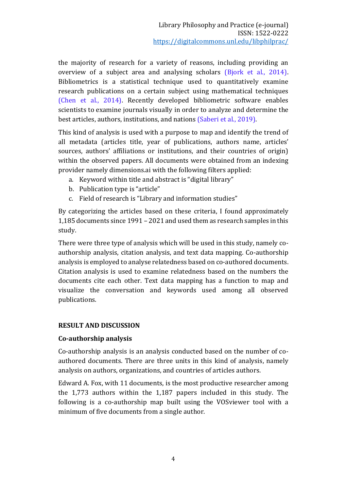the majority of research for a variety of reasons, including providing an overview of a subject area and analysing scholars (Bjork et al., 2014). Bibliometrics is a statistical technique used to quantitatively examine research publications on a certain subject using mathematical techniques (Chen et al., 2014). Recently developed bibliometric software enables scientists to examine journals visually in order to analyze and determine the best articles, authors, institutions, and nations (Saberi et al., 2019).

This kind of analysis is used with a purpose to map and identify the trend of all metadata (articles title, year of publications, authors name, articles' sources, authors' affiliations or institutions, and their countries of origin) within the observed papers. All documents were obtained from an indexing provider namely dimensions.ai with the following filters applied:

- a. Keyword within title and abstract is "digital library"
- b. Publication type is "article"
- c. Field of research is "Library and information studies"

By categorizing the articles based on these criteria, I found approximately 1,185 documents since 1991 – 2021 and used them as research samples in this study.

There were three type of analysis which will be used in this study, namely coauthorship analysis, citation analysis, and text data mapping. Co-authorship analysis is employed to analyse relatedness based on co-authored documents. Citation analysis is used to examine relatedness based on the numbers the documents cite each other. Text data mapping has a function to map and visualize the conversation and keywords used among all observed publications.

#### **RESULT AND DISCUSSION**

#### **Co-authorship analysis**

Co-authorship analysis is an analysis conducted based on the number of coauthored documents. There are three units in this kind of analysis, namely analysis on authors, organizations, and countries of articles authors.

Edward A. Fox, with 11 documents, is the most productive researcher among the 1,773 authors within the 1,187 papers included in this study. The following is a co-authorship map built using the VOSviewer tool with a minimum of five documents from a single author.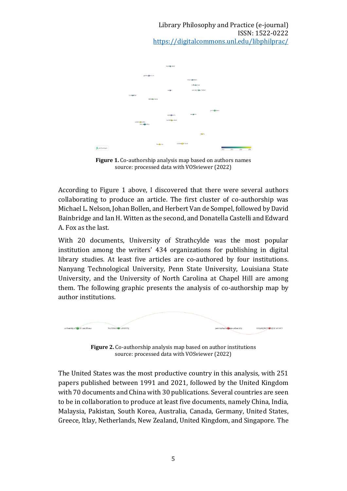

**Figure 1.** Co-authorship analysis map based on authors names source: processed data with VOSviewer (2022)

According to Figure 1 above, I discovered that there were several authors collaborating to produce an article. The first cluster of co-authorship was Michael L. Nelson, Johan Bollen, and Herbert Van de Sompel, followed by David Bainbridge and Ian H. Witten as the second, and Donatella Castelli and Edward A. Fox as the last.

With 20 documents, University of Strathcylde was the most popular institution among the writers' 434 organizations for publishing in digital library studies. At least five articles are co-authored by four institutions. Nanyang Technological University, Penn State University, Louisiana State University, and the University of North Carolina at Chapel Hill are among them. The following graphic presents the analysis of co-authorship map by author institutions.



**Figure 2.** Co-authorship analysis map based on author institutions source: processed data with VOSviewer (2022)

The United States was the most productive country in this analysis, with 251 papers published between 1991 and 2021, followed by the United Kingdom with 70 documents and China with 30 publications. Several countries are seen to be in collaboration to produce at least five documents, namely China, India, Malaysia, Pakistan, South Korea, Australia, Canada, Germany, United States, Greece, Itlay, Netherlands, New Zealand, United Kingdom, and Singapore. The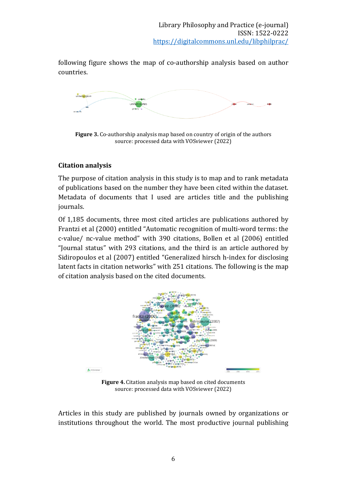following figure shows the map of co-authorship analysis based on author countries.



**Figure 3.** Co-authorship analysis map based on country of origin of the authors source: processed data with VOSviewer (2022)

### **Citation analysis**

The purpose of citation analysis in this study is to map and to rank metadata of publications based on the number they have been cited within the dataset. Metadata of documents that I used are articles title and the publishing journals.

Of 1,185 documents, three most cited articles are publications authored by Frantzi et al (2000) entitled "Automatic recognition of multi-word terms: the c-value/ nc-value method" with 390 citations, Bollen et al (2006) entitled "Journal status" with 293 citations, and the third is an article authored by Sidiropoulos et al (2007) entitled "Generalized hirsch h-index for disclosing latent facts in citation networks" with 251 citations. The following is the map of citation analysis based on the cited documents.



**Figure 4.** Citation analysis map based on cited documents source: processed data with VOSviewer (2022)

Articles in this study are published by journals owned by organizations or institutions throughout the world. The most productive journal publishing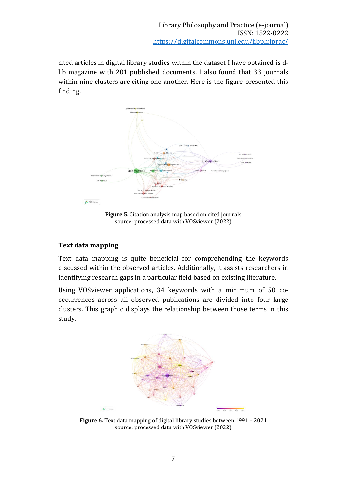cited articles in digital library studies within the dataset I have obtained is dlib magazine with 201 published documents. I also found that 33 journals within nine clusters are citing one another. Here is the figure presented this finding.



**Figure 5.** Citation analysis map based on cited journals source: processed data with VOSviewer (2022)

#### **Text data mapping**

Text data mapping is quite beneficial for comprehending the keywords discussed within the observed articles. Additionally, it assists researchers in identifying research gaps in a particular field based on existing literature.

Using VOSviewer applications, 34 keywords with a minimum of 50 cooccurrences across all observed publications are divided into four large clusters. This graphic displays the relationship between those terms in this study.



**Figure 6.** Text data mapping of digital library studies between 1991 – 2021 source: processed data with VOSviewer (2022)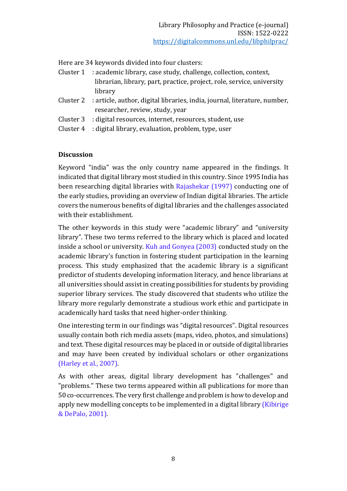Here are 34 keywords divided into four clusters:

- Cluster 1 : academic library, case study, challenge, collection, context, librarian, library, part, practice, project, role, service, university library
- Cluster 2 : article, author, digital libraries, india, journal, literature, number, researcher, review, study, year
- Cluster 3 : digital resources, internet, resources, student, use
- Cluster 4 : digital library, evaluation, problem, type, user

#### **Discussion**

Keyword "india" was the only country name appeared in the findings. It indicated that digital library most studied in this country. Since 1995 India has been researching digital libraries with Rajashekar (1997) conducting one of the early studies, providing an overview of Indian digital libraries. The article covers the numerous benefits of digital libraries and the challenges associated with their establishment.

The other keywords in this study were "academic library" and "university library". These two terms referred to the library which is placed and located inside a school or university. Kuh and Gonyea (2003) conducted study on the academic library's function in fostering student participation in the learning process. This study emphasized that the academic library is a significant predictor of students developing information literacy, and hence librarians at all universities should assist in creating possibilities for students by providing superior library services. The study discovered that students who utilize the library more regularly demonstrate a studious work ethic and participate in academically hard tasks that need higher-order thinking.

One interesting term in our findings was "digital resources". Digital resources usually contain both rich media assets (maps, video, photos, and simulations) and text. These digital resources may be placed in or outside of digital libraries and may have been created by individual scholars or other organizations (Harley et al., 2007).

As with other areas, digital library development has "challenges" and "problems." These two terms appeared within all publications for more than 50 co-occurrences. The very first challenge and problem is how to develop and apply new modelling concepts to be implemented in a digital library (Kibirige & DePalo, 2001).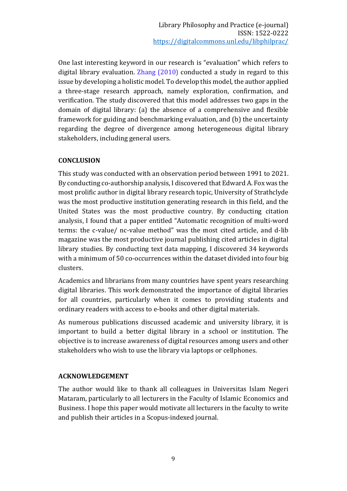One last interesting keyword in our research is "evaluation" which refers to digital library evaluation. Zhang (2010) conducted a study in regard to this issue by developing a holistic model. To develop this model, the author applied a three-stage research approach, namely exploration, confirmation, and verification. The study discovered that this model addresses two gaps in the domain of digital library: (a) the absence of a comprehensive and flexible framework for guiding and benchmarking evaluation, and (b) the uncertainty regarding the degree of divergence among heterogeneous digital library stakeholders, including general users.

#### **CONCLUSION**

This study was conducted with an observation period between 1991 to 2021. By conducting co-authorship analysis, I discovered that Edward A. Fox was the most prolific author in digital library research topic, University of Strathclyde was the most productive institution generating research in this field, and the United States was the most productive country. By conducting citation analysis, I found that a paper entitled "Automatic recognition of multi-word terms: the c-value/ nc-value method" was the most cited article, and d-lib magazine was the most productive journal publishing cited articles in digital library studies. By conducting text data mapping, I discovered 34 keywords with a minimum of 50 co-occurrences within the dataset divided into four big clusters.

Academics and librarians from many countries have spent years researching digital libraries. This work demonstrated the importance of digital libraries for all countries, particularly when it comes to providing students and ordinary readers with access to e-books and other digital materials.

As numerous publications discussed academic and university library, it is important to build a better digital library in a school or institution. The objective is to increase awareness of digital resources among users and other stakeholders who wish to use the library via laptops or cellphones.

#### **ACKNOWLEDGEMENT**

The author would like to thank all colleagues in Universitas Islam Negeri Mataram, particularly to all lecturers in the Faculty of Islamic Economics and Business. I hope this paper would motivate all lecturers in the faculty to write and publish their articles in a Scopus-indexed journal.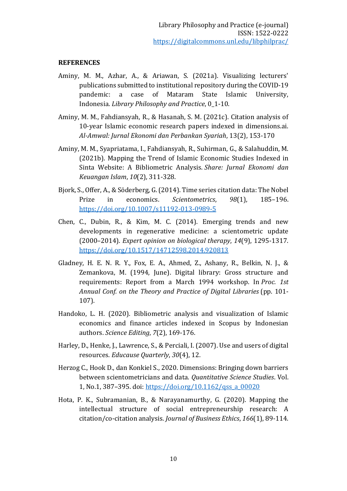#### **REFERENCES**

- Aminy, M. M., Azhar, A., & Ariawan, S. (2021a). Visualizing lecturers' publications submitted to institutional repository during the COVID-19 pandemic: a case of Mataram State Islamic University, Indonesia. *Library Philosophy and Practice*, 0\_1-10.
- Aminy, M. M., Fahdiansyah, R., & Hasanah, S. M. (2021c). Citation analysis of 10-year Islamic economic research papers indexed in dimensions.ai. *Al-Amwal: Jurnal Ekonomi dan Perbankan Syariah*, 13(2), 153-170
- Aminy, M. M., Syapriatama, I., Fahdiansyah, R., Suhirman, G., & Salahuddin, M. (2021b). Mapping the Trend of Islamic Economic Studies Indexed in Sinta Website: A Bibliometric Analysis. *Share: Jurnal Ekonomi dan Keuangan Islam*, *10*(2), 311-328.
- Bjork, S., Offer, A., & Söderberg, G. (2014). Time series citation data: The Nobel Prize in economics. *Scientometrics*, *98*(1), 185–196. <https://doi.org/10.1007/s11192-013-0989-5>
- Chen, C., Dubin, R., & Kim, M. C. (2014). Emerging trends and new developments in regenerative medicine: a scientometric update (2000–2014). *Expert opinion on biological therapy*, *14*(9), 1295-1317. <https://doi.org/10.1517/14712598.2014.920813>
- Gladney, H. E. N. R. Y., Fox, E. A., Ahmed, Z., Ashany, R., Belkin, N. J., & Zemankova, M. (1994, June). Digital library: Gross structure and requirements: Report from a March 1994 workshop. In *Proc. 1st Annual Conf. on the Theory and Practice of Digital Libraries* (pp. 101- 107).
- Handoko, L. H. (2020). Bibliometric analysis and visualization of Islamic economics and finance articles indexed in Scopus by Indonesian authors. *Science Editing*, *7*(2), 169-176.
- Harley, D., Henke, J., Lawrence, S., & Perciali, I. (2007). Use and users of digital resources. *Educause Quarterly*, *30*(4), 12.
- Herzog C., Hook D., dan Konkiel S., 2020. Dimensions: Bringing down barriers between scientometricians and data. *Quantitative Science Studies*. Vol. 1, No.1, 387–395. doi[: https://doi.org/10.1162/qss\\_a\\_00020](https://doi.org/10.1162/qss_a_00020)
- Hota, P. K., Subramanian, B., & Narayanamurthy, G. (2020). Mapping the intellectual structure of social entrepreneurship research: A citation/co-citation analysis. *Journal of Business Ethics*, *166*(1), 89-114.